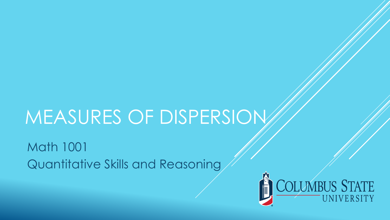# MEASURES OF DISPERSION

Math 1001 Quantitative Skills and Reasoning

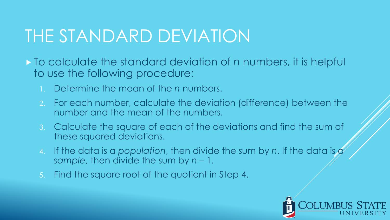### THE STANDARD DEVIATION

- To calculate the standard deviation of *n* numbers, it is helpful to use the following procedure:
	- 1. Determine the mean of the *n* numbers.
	- 2. For each number, calculate the deviation (difference) between the number and the mean of the numbers.
	- 3. Calculate the square of each of the deviations and find the sum of these squared deviations.
	- 4. If the data is a *population*, then divide the sum by *n*. If the data is a *sample*, then divide the sum by *n* – 1.
	- 5. Find the square root of the quotient in Step 4.

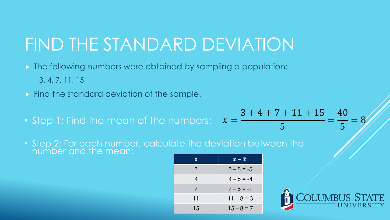# FIND THE STANDARD DEVIATION

- **The following numbers were obtained by sampling a population:** 3, 4, 7, 11, 15
- $\triangleright$  Find the standard deviation of the sample.
- Step 1: Find the mean of the numbers:  $\bar{x} = -\frac{1}{2}$

• Step 2: For each number, calculate the deviation between the number and the mean:

| X. | $\overline{x}-\overline{x}$ |
|----|-----------------------------|
| 3  | $3 - 8 = -5$                |
| 4  | $4 - 8 = -4$                |
| 7  | $7 - 8 = -1$                |
| 11 | $11 - 8 = 3$                |
| 15 | $15 - 8 = 7$                |



=

40

5

 $= 8$ 

 $3 + 4 + 7 + 11 + 15$ 

5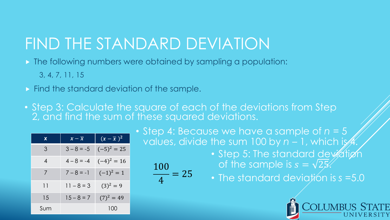#### FIND THE STANDARD DEVIATION

**The following numbers were obtained by sampling a population:** 

100

4

- 3, 4, 7, 11, 15
- $\triangleright$  Find the standard deviation of the sample.
- Step 3: Calculate the square of each of the deviations from Step 2, and find the sum of these squared deviations.

 $= 25$ 

| X   | $\overline{x-\overline{x}}$ | $(x-\overline{x})^2$ |
|-----|-----------------------------|----------------------|
| 3   | $3 - 8 = -5$                | $(-5)^2 = 25$        |
| 4   | $4 - 8 = -4$                | $(-4)^2 = 16$        |
| 7   | $7 - 8 = -1$                | $(-1)^2=1$           |
| 11  | $11 - 8 = 3$                | $(3)^2 = 9$          |
| 15  | $15 - 8 = 7$                | $(7)^2 = 49$         |
| Sum |                             | 100                  |

• Step 4: Because we have a sample of *n =* 5 values, divide the sum 100 by  $n - 1$ , which is  $\mathcal{A}$ 

- Step 5: The standard deviation of the sample is  $s = \sqrt{25}$ .
- The standard deviation is *s* =5.0

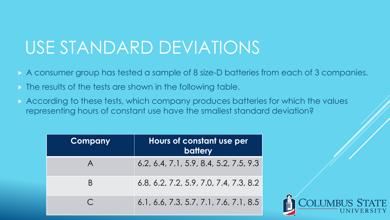- A consumer group has tested a sample of 8 size-D batteries from each of 3 companies.
- **If the results of the tests are shown in the following table.**
- According to these tests, which company produces batteries for which the values representing hours of constant use have the smallest standard deviation?

| <b>Company</b>          | Hours of constant use per<br><b>battery</b> |
|-------------------------|---------------------------------------------|
| $\overline{\mathsf{A}}$ | $6.2, 6.4, 7.1, 5.9, 8.4, 5.2, 7.5, 9.3$    |
| B                       | $6.8, 6.2, 7.2, 5.9, 7.0, 7.4, 7.3, 8.2$    |
|                         | $6.1, 6.6, 7.3, 5.7, 7.1, 7.6, 7.1, 8.5$    |

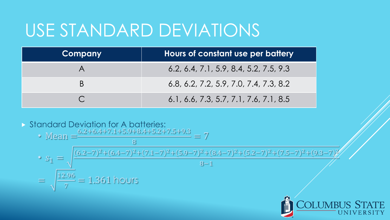| <b>Company</b> | Hours of constant use per battery        |
|----------------|------------------------------------------|
|                | $6.2, 6.4, 7.1, 5.9, 8.4, 5.2, 7.5, 9.3$ |
|                | $6.8, 6.2, 7.2, 5.9, 7.0, 7.4, 7.3, 8.2$ |
|                | $6.1, 6.6, 7.3, 5.7, 7.1, 7.6, 7.1, 8.5$ |

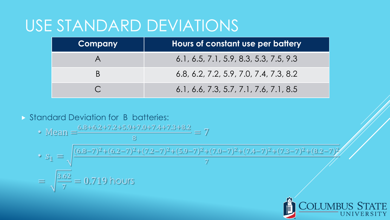| <b>Company</b> | Hours of constant use per battery        |
|----------------|------------------------------------------|
|                | 6.1, 6.5, 7.1, 5.9, 8.3, 5.3, 7.5, 9.3   |
| B              | $6.8, 6.2, 7.2, 5.9, 7.0, 7.4, 7.3, 8.2$ |
|                | $6.1, 6.6, 7.3, 5.7, 7.1, 7.6, 7.1, 8.5$ |

Standard Deviation for B batteries:

• Mean = 
$$
\frac{6.8 + 6.2 + 7.2 + 5.9 + 7.0 + 7.4 + 7.3 + 8.2}{8} = 7
$$
  
\n• 
$$
s_1 = \sqrt{\frac{(6.8 - 7)^2 + (6.2 - 7)^2 + (7.2 - 7)^2 + (5.9 - 7)^2 + (7.0 - 7)^2 + (7.4 - 7)^2 + (7.3 - 7)^2 + (8.2 - 7)^2}{7}}
$$
  
\n=  $\sqrt{\frac{3.62}{7}}$  = 0.719 hours

**COLUMBUS STATE** 

**TY**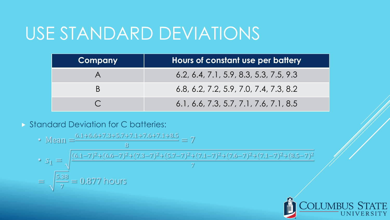| Company | Hours of constant use per battery        |
|---------|------------------------------------------|
|         | $6.2, 6.4, 7.1, 5.9, 8.3, 5.3, 7.5, 9.3$ |
| B       | $6.8, 6.2, 7.2, 5.9, 7.0, 7.4, 7.3, 8.2$ |
|         | $6.1, 6.6, 7.3, 5.7, 7.1, 7.6, 7.1, 8.5$ |

Standard Deviation for C batteries:

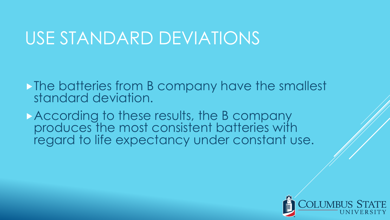The batteries from B company have the smallest standard deviation.

According to these results, the B company produces the most consistent batteries with regard to life expectancy under constant use.

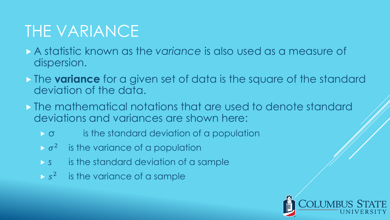#### THE VARIANCE

- A statistic known as the *variance* is also used as a measure of dispersion.
- **The variance** for a given set of data is the square of the standard deviation of the data.
- The mathematical notations that are used to denote standard deviations and variances are shown here:
	- $\triangleright$   $\sigma$  is the standard deviation of a population
	- $\triangleright \sigma^2$  is the variance of a population
	- *s* is the standard deviation of a sample
	- $\triangleright$  s<sup>2</sup> is the variance of a sample

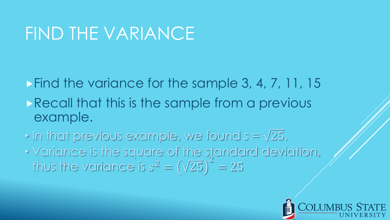#### FIND THE VARIANCE

Find the variance for the sample 3, 4, 7, 11, 15

- Recall that this is the sample from a previous example.
- In that previous example, we found  $s = \sqrt{25}$ . • Variance is the square of the standard deviation, thus the variance is  $s^2 = (\sqrt{25})^2$ 2  $= 25$

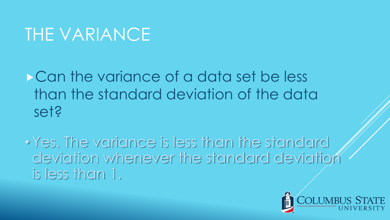### THE VARIANCE

**Can the variance of a data set be less** than the standard deviation of the data set?

• Yes. The variance is less than the standard deviation whenever the standard deviation is less than 1.